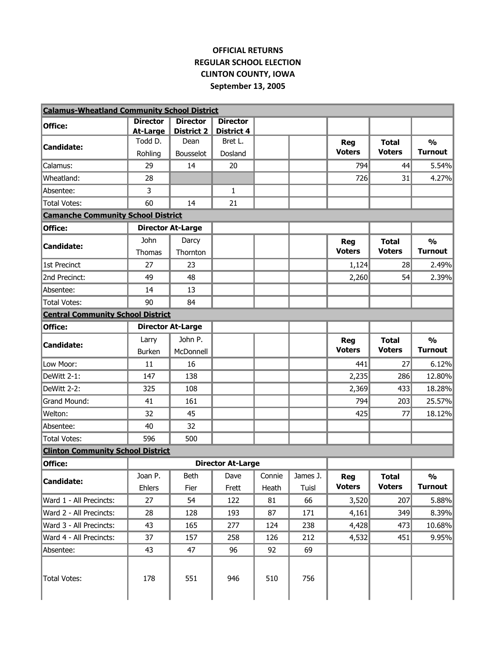## **OFFICIAL RETURNS REGULAR SCHOOL ELECTION CLINTON COUNTY, IOWA September 13, 2005**

| <b>Calamus-Wheatland Community School District</b> |                          |                          |                          |        |          |               |               |                |
|----------------------------------------------------|--------------------------|--------------------------|--------------------------|--------|----------|---------------|---------------|----------------|
| Office:                                            | <b>Director</b>          | <b>Director</b>          | <b>Director</b>          |        |          |               |               |                |
|                                                    | <b>At-Large</b>          | District 2               | <b>District 4</b>        |        |          |               |               |                |
| <b>Candidate:</b>                                  | Todd D.                  | Dean                     | Bret L.                  |        |          | <b>Reg</b>    | <b>Total</b>  | $\frac{1}{2}$  |
|                                                    | Rohling                  | Bousselot                | Dosland                  |        |          | <b>Voters</b> | <b>Voters</b> | <b>Turnout</b> |
| Calamus:                                           | 29                       | 14                       | 20                       |        |          | 794           | 44            | 5.54%          |
| Wheatland:                                         | 28                       |                          |                          |        |          | 726           | 31            | 4.27%          |
| Absentee:                                          | 3                        |                          | $\mathbf{1}$             |        |          |               |               |                |
| <b>Total Votes:</b>                                | 60                       | 14                       | 21                       |        |          |               |               |                |
| <b>Camanche Community School District</b>          |                          |                          |                          |        |          |               |               |                |
| Office:                                            | <b>Director At-Large</b> |                          |                          |        |          |               |               |                |
|                                                    | John                     | Darcy                    |                          |        |          | Reg           | <b>Total</b>  | $\frac{0}{0}$  |
| <b>Candidate:</b>                                  | Thomas                   | Thornton                 |                          |        |          | <b>Voters</b> | <b>Voters</b> | <b>Turnout</b> |
| 1st Precinct                                       | 27                       | 23                       |                          |        |          | 1,124         | 28            | 2.49%          |
| 2nd Precinct:                                      | 49                       | 48                       |                          |        |          | 2,260         | 54            | 2.39%          |
| Absentee:                                          | 14                       | 13                       |                          |        |          |               |               |                |
| <b>Total Votes:</b>                                | 90                       | 84                       |                          |        |          |               |               |                |
| <b>Central Community School District</b>           |                          |                          |                          |        |          |               |               |                |
| Office:                                            |                          | <b>Director At-Large</b> |                          |        |          |               |               |                |
|                                                    | Larry                    | John P.                  |                          |        |          | <b>Reg</b>    | <b>Total</b>  | $\frac{0}{0}$  |
| <b>Candidate:</b>                                  | <b>Burken</b>            | McDonnell                |                          |        |          | <b>Voters</b> | <b>Voters</b> | <b>Turnout</b> |
| Low Moor:                                          | 11                       | 16                       |                          |        |          | 441           | 27            | 6.12%          |
| DeWitt 2-1:                                        | 147                      | 138                      |                          |        |          | 2,235         | 286           | 12.80%         |
| DeWitt 2-2:                                        | 325                      | 108                      |                          |        |          | 2,369         | 433           | 18.28%         |
| Grand Mound:                                       | 41                       | 161                      |                          |        |          | 794           | 203           | 25.57%         |
| Welton:                                            | 32                       | 45                       |                          |        |          | 425           | 77            | 18.12%         |
| Absentee:                                          | 40                       | 32                       |                          |        |          |               |               |                |
| Total Votes:                                       | 596                      | 500                      |                          |        |          |               |               |                |
| <b>Clinton Community School District</b>           |                          |                          |                          |        |          |               |               |                |
| Office:                                            |                          |                          | <b>Director At-Large</b> |        |          |               |               |                |
|                                                    | Joan P.                  | <b>Beth</b>              | Dave                     | Connie | James J. | Reg           | <b>Total</b>  | $\frac{1}{2}$  |
| <b>Candidate:</b>                                  | Ehlers                   | Fier                     | Frett                    | Heath  | Tuisl    | <b>Voters</b> | <b>Voters</b> | <b>Turnout</b> |
| Ward 1 - All Precincts:                            | 27                       | 54                       | 122                      | 81     | 66       | 3,520         | 207           | 5.88%          |
| Ward 2 - All Precincts:                            | 28                       | 128                      | 193                      | 87     | 171      | 4,161         | 349           | 8.39%          |
| Ward 3 - All Precincts:                            | 43                       | 165                      | 277                      | 124    | 238      | 4,428         | 473           | 10.68%         |
| Ward 4 - All Precincts:                            | 37                       | 157                      | 258                      | 126    | 212      | 4,532         | 451           | 9.95%          |
| Absentee:                                          | 43                       | 47                       | 96                       | 92     | 69       |               |               |                |
|                                                    |                          |                          |                          |        |          |               |               |                |
| <b>Total Votes:</b>                                | 178                      | 551                      | 946                      | 510    | 756      |               |               |                |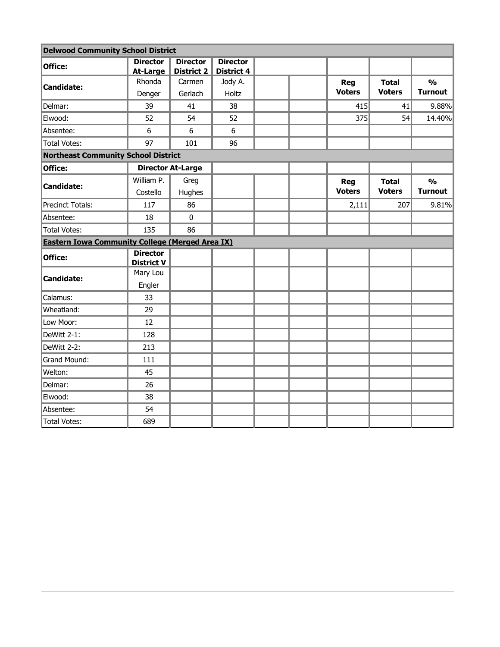| <b>Delwood Community School District</b>               |                                      |                               |                                      |  |                             |                               |                                 |
|--------------------------------------------------------|--------------------------------------|-------------------------------|--------------------------------------|--|-----------------------------|-------------------------------|---------------------------------|
| Office:                                                | <b>Director</b><br><b>At-Large</b>   | <b>Director</b><br>District 2 | <b>Director</b><br><b>District 4</b> |  |                             |                               |                                 |
| <b>Candidate:</b>                                      | Rhonda                               | Carmen                        | Jody A.                              |  | Reg                         | <b>Total</b>                  | $\frac{1}{2}$                   |
|                                                        | Denger                               | Gerlach                       | Holtz                                |  | <b>Voters</b>               | <b>Voters</b>                 | <b>Turnout</b>                  |
| Delmar:                                                | 39                                   | 41                            | 38                                   |  | 415                         | 41                            | 9.88%                           |
| Elwood:                                                | 52                                   | 54                            | 52                                   |  | 375                         | 54                            | 14.40%                          |
| Absentee:                                              | 6                                    | 6                             | 6                                    |  |                             |                               |                                 |
| <b>Total Votes:</b>                                    | 97                                   | 101                           | 96                                   |  |                             |                               |                                 |
| <b>Northeast Community School District</b>             |                                      |                               |                                      |  |                             |                               |                                 |
| Office:                                                |                                      | <b>Director At-Large</b>      |                                      |  |                             |                               |                                 |
| <b>Candidate:</b>                                      | William P.<br>Costello               | Greg<br>Hughes                |                                      |  | <b>Reg</b><br><b>Voters</b> | <b>Total</b><br><b>Voters</b> | $\frac{0}{0}$<br><b>Turnout</b> |
| <b>Precinct Totals:</b>                                | 117                                  | 86                            |                                      |  | 2,111                       | 207                           | 9.81%                           |
| Absentee:                                              | 18                                   | $\pmb{0}$                     |                                      |  |                             |                               |                                 |
| <b>Total Votes:</b>                                    | 135                                  | 86                            |                                      |  |                             |                               |                                 |
| <b>Eastern Iowa Community College (Merged Area IX)</b> |                                      |                               |                                      |  |                             |                               |                                 |
| Office:                                                | <b>Director</b><br><b>District V</b> |                               |                                      |  |                             |                               |                                 |
| <b>Candidate:</b>                                      | Mary Lou<br>Engler                   |                               |                                      |  |                             |                               |                                 |
| Calamus:                                               | 33                                   |                               |                                      |  |                             |                               |                                 |
| Wheatland:                                             | 29                                   |                               |                                      |  |                             |                               |                                 |
| Low Moor:                                              | 12                                   |                               |                                      |  |                             |                               |                                 |
| DeWitt 2-1:                                            | 128                                  |                               |                                      |  |                             |                               |                                 |
| DeWitt 2-2:                                            | 213                                  |                               |                                      |  |                             |                               |                                 |
| Grand Mound:                                           | 111                                  |                               |                                      |  |                             |                               |                                 |
| Welton:                                                | 45                                   |                               |                                      |  |                             |                               |                                 |
| Delmar:                                                | 26                                   |                               |                                      |  |                             |                               |                                 |
| Elwood:                                                | 38                                   |                               |                                      |  |                             |                               |                                 |
| Absentee:                                              | 54                                   |                               |                                      |  |                             |                               |                                 |
| Total Votes:                                           | 689                                  |                               |                                      |  |                             |                               |                                 |